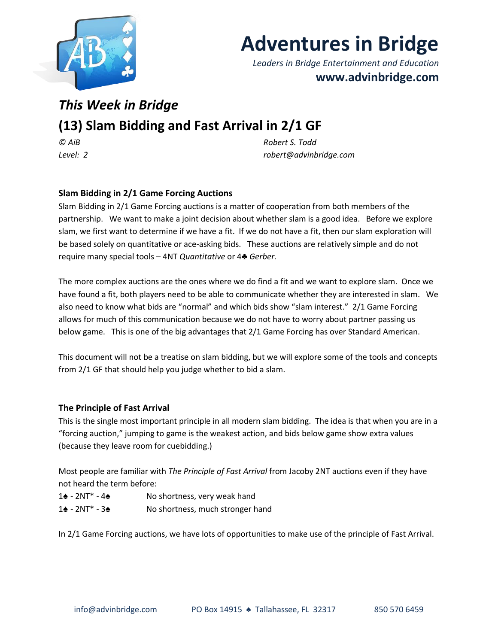

# **Adventures in Bridge**

*Leaders in Bridge Entertainment and Education* **www.advinbridge.com**

## *This Week in Bridge*

### **(13) Slam Bidding and Fast Arrival in 2/1 GF**

*© AiB Robert S. Todd Level: 2 [robert@advinbridge.com](mailto:robert@advinbridge.com)*

#### **Slam Bidding in 2/1 Game Forcing Auctions**

Slam Bidding in 2/1 Game Forcing auctions is a matter of cooperation from both members of the partnership. We want to make a joint decision about whether slam is a good idea. Before we explore slam, we first want to determine if we have a fit. If we do not have a fit, then our slam exploration will be based solely on quantitative or ace-asking bids. These auctions are relatively simple and do not require many special tools – 4NT *Quantitative* or 4♣ *Gerber.*

The more complex auctions are the ones where we do find a fit and we want to explore slam. Once we have found a fit, both players need to be able to communicate whether they are interested in slam. We also need to know what bids are "normal" and which bids show "slam interest." 2/1 Game Forcing allows for much of this communication because we do not have to worry about partner passing us below game. This is one of the big advantages that 2/1 Game Forcing has over Standard American.

This document will not be a treatise on slam bidding, but we will explore some of the tools and concepts from 2/1 GF that should help you judge whether to bid a slam.

#### **The Principle of Fast Arrival**

This is the single most important principle in all modern slam bidding. The idea is that when you are in a "forcing auction," jumping to game is the weakest action, and bids below game show extra values (because they leave room for cuebidding.)

Most people are familiar with *The Principle of Fast Arrival* from Jacoby 2NT auctions even if they have not heard the term before:

- 1♠ 2NT\* 4♠ No shortness, very weak hand
- 1♠ 2NT\* 3♠ No shortness, much stronger hand

In 2/1 Game Forcing auctions, we have lots of opportunities to make use of the principle of Fast Arrival.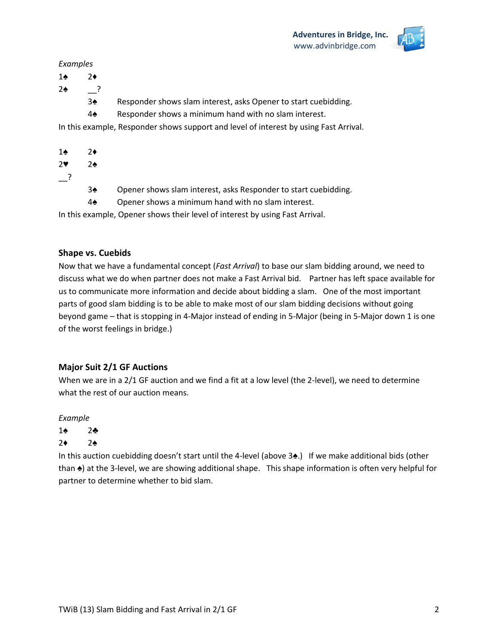

#### *Examples*

- 1♠ 2♦
- 2♠ \_\_?
	- 3♠ Responder shows slam interest, asks Opener to start cuebidding.
	- 4♠ Responder shows a minimum hand with no slam interest.

In this example, Responder shows support and level of interest by using Fast Arrival.

- 1♠ 2♦
- 2♥ 2♠
- $\overline{\phantom{a}}$  ?
- 3♠ Opener shows slam interest, asks Responder to start cuebidding.
- 4♠ Opener shows a minimum hand with no slam interest.

In this example, Opener shows their level of interest by using Fast Arrival.

#### **Shape vs. Cuebids**

Now that we have a fundamental concept (*Fast Arrival*) to base our slam bidding around, we need to discuss what we do when partner does not make a Fast Arrival bid. Partner has left space available for us to communicate more information and decide about bidding a slam. One of the most important parts of good slam bidding is to be able to make most of our slam bidding decisions without going beyond game – that is stopping in 4-Major instead of ending in 5-Major (being in 5-Major down 1 is one of the worst feelings in bridge.)

#### **Major Suit 2/1 GF Auctions**

When we are in a 2/1 GF auction and we find a fit at a low level (the 2-level), we need to determine what the rest of our auction means.

#### *Example*

- 1♠ 2♣
- 2♦ 2♠

In this auction cuebidding doesn't start until the 4-level (above 3♠.) If we make additional bids (other than ♠) at the 3-level, we are showing additional shape. This shape information is often very helpful for partner to determine whether to bid slam.